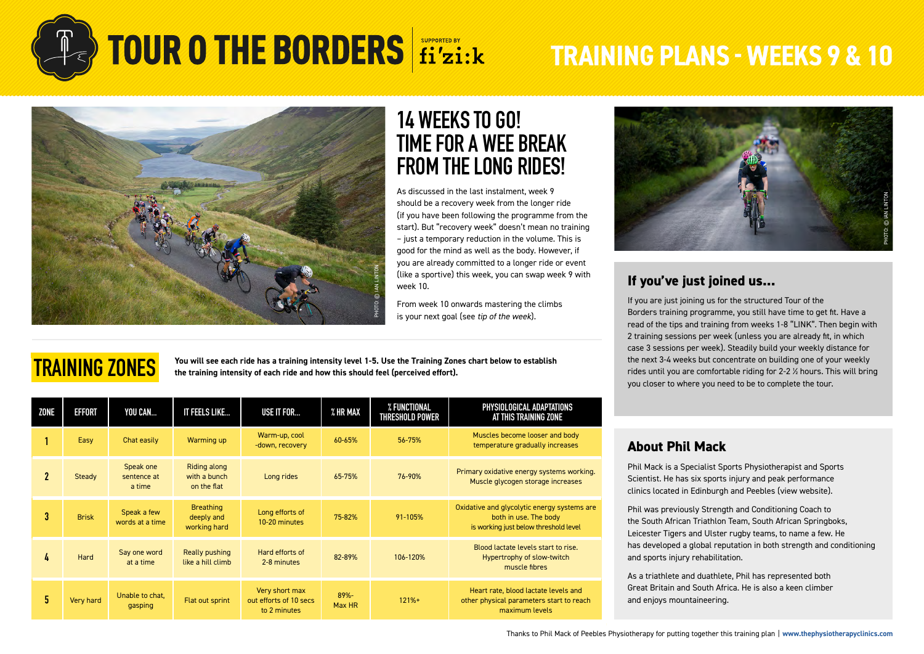

# **TOUR O THE BORDERS** fi'zi:k TRAINING PLANS - WEEKS 9 & 10



## **14 WEEKS TO GO! TIME FOR A WEE BREAK FROM THE LONG RIDES!**

As discussed in the last instalment, week 9 should be a recovery week from the longer ride (if you have been following the programme from the start). But "recovery week" doesn't mean no training – just a temporary reduction in the volume. This is good for the mind as well as the body. However, if you are already committed to a longer ride or event (like a sportive) this week, you can swap week 9 with week 10.

From week 10 onwards mastering the climbs is your next goal (see tip of the week).

## **TRAINING ZONES**

**You will see each ride has a training intensity level 1-5. Use the Training Zones chart below to establish the training intensity of each ride and how this should feel (perceived effort).**

| ZONE           | EFFORT       | YOU CAN                            | IT FEELS LIKE                                      | <b>USE IT FOR</b>                                        | % HR MAX          | % FUNCTIONAL<br><b>THRESHOLD POWER</b> | PHYSIOLOGICAL ADAPTATIONS<br>AT THIS TRAINING ZONE                                                            |  |
|----------------|--------------|------------------------------------|----------------------------------------------------|----------------------------------------------------------|-------------------|----------------------------------------|---------------------------------------------------------------------------------------------------------------|--|
|                | Easy         | Chat easily                        | Warming up                                         | Warm-up, cool<br>-down, recovery                         | 60-65%            | 56-75%                                 | Muscles become looser and body<br>temperature gradually increases                                             |  |
| $\mathfrak{p}$ | Steady       | Speak one<br>sentence at<br>a time | <b>Riding along</b><br>with a bunch<br>on the flat | Long rides                                               | 65-75%            | 76-90%                                 | Primary oxidative energy systems working.<br>Muscle glycogen storage increases                                |  |
| 3              | <b>Brisk</b> | Speak a few<br>words at a time     | <b>Breathing</b><br>deeply and<br>working hard     | Long efforts of<br>10-20 minutes                         | 75-82%            | 91-105%                                | Oxidative and glycolytic energy systems are<br>both in use. The body<br>is working just below threshold level |  |
| 4              | Hard         | Say one word<br>at a time          | Really pushing<br>like a hill climb                | Hard efforts of<br>2-8 minutes                           | 82-89%            | 106-120%                               | Blood lactate levels start to rise.<br>Hypertrophy of slow-twitch<br>muscle fibres                            |  |
| 5.             | Very hard    | Unable to chat.<br>gasping         | Flat out sprint                                    | Very short max<br>out efforts of 10 secs<br>to 2 minutes | $89% -$<br>Max HR | $121%+$                                | Heart rate, blood lactate levels and<br>other physical parameters start to reach<br>maximum levels            |  |



#### **If you've just joined us...**

If you are just joining us for the structured Tour of the Borders training programme, you still have time to get fit. Have a read of the tips and training from weeks 1-8 "LINK". Then begin with 2 training sessions per week (unless you are already fit, in which case 3 sessions per week). Steadily build your weekly distance for the next 3-4 weeks but concentrate on building one of your weekly rides until you are comfortable riding for 2-2 ½ hours. This will bring you closer to where you need to be to complete the tour.

#### **About Phil Mack**

Phil Mack is a Specialist Sports Physiotherapist and Sports Scientist. He has six sports injury and peak performance clinics located in Edinburgh and Peebles ([view website](https://thephysiotherapyclinics.com/)).

Phil was previously Strength and Conditioning Coach to the South African Triathlon Team, South African Springboks, Leicester Tigers and Ulster rugby teams, to name a few. He has developed a global reputation in both strength and conditioning and sports injury rehabilitation.

As a triathlete and duathlete, Phil has represented both Great Britain and South Africa. He is also a keen climber and enjoys mountaineering.